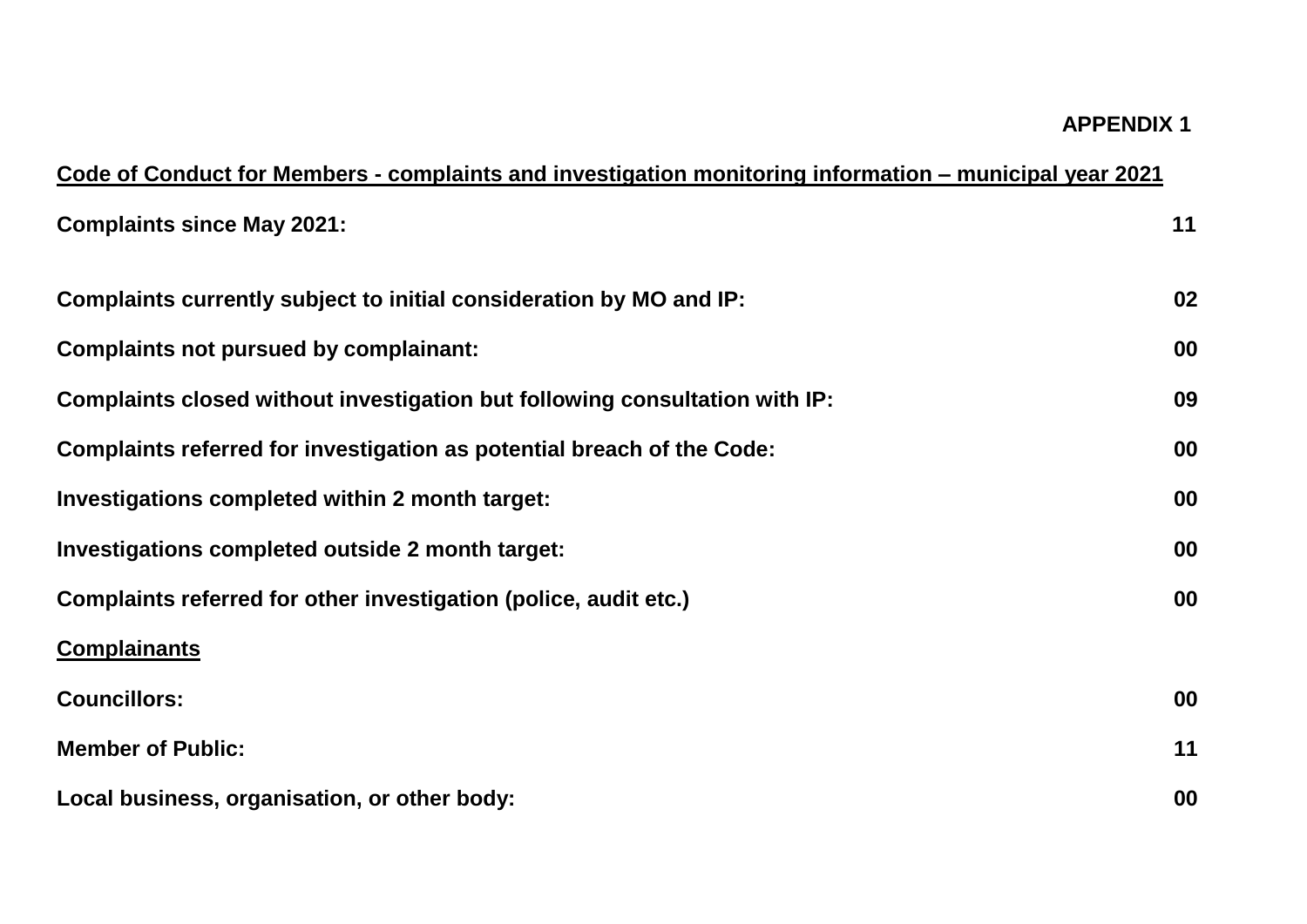## **APPENDIX 1**

| Code of Conduct for Members - complaints and investigation monitoring information – municipal year 2021 |    |
|---------------------------------------------------------------------------------------------------------|----|
| <b>Complaints since May 2021:</b>                                                                       | 11 |
| Complaints currently subject to initial consideration by MO and IP:                                     | 02 |
| <b>Complaints not pursued by complainant:</b>                                                           | 00 |
| Complaints closed without investigation but following consultation with IP:                             | 09 |
| Complaints referred for investigation as potential breach of the Code:                                  | 00 |
| Investigations completed within 2 month target:                                                         | 00 |
| Investigations completed outside 2 month target:                                                        | 00 |
| Complaints referred for other investigation (police, audit etc.)                                        | 00 |
| <b>Complainants</b>                                                                                     |    |
| <b>Councillors:</b>                                                                                     | 00 |
| <b>Member of Public:</b>                                                                                | 11 |
| Local business, organisation, or other body:                                                            | 00 |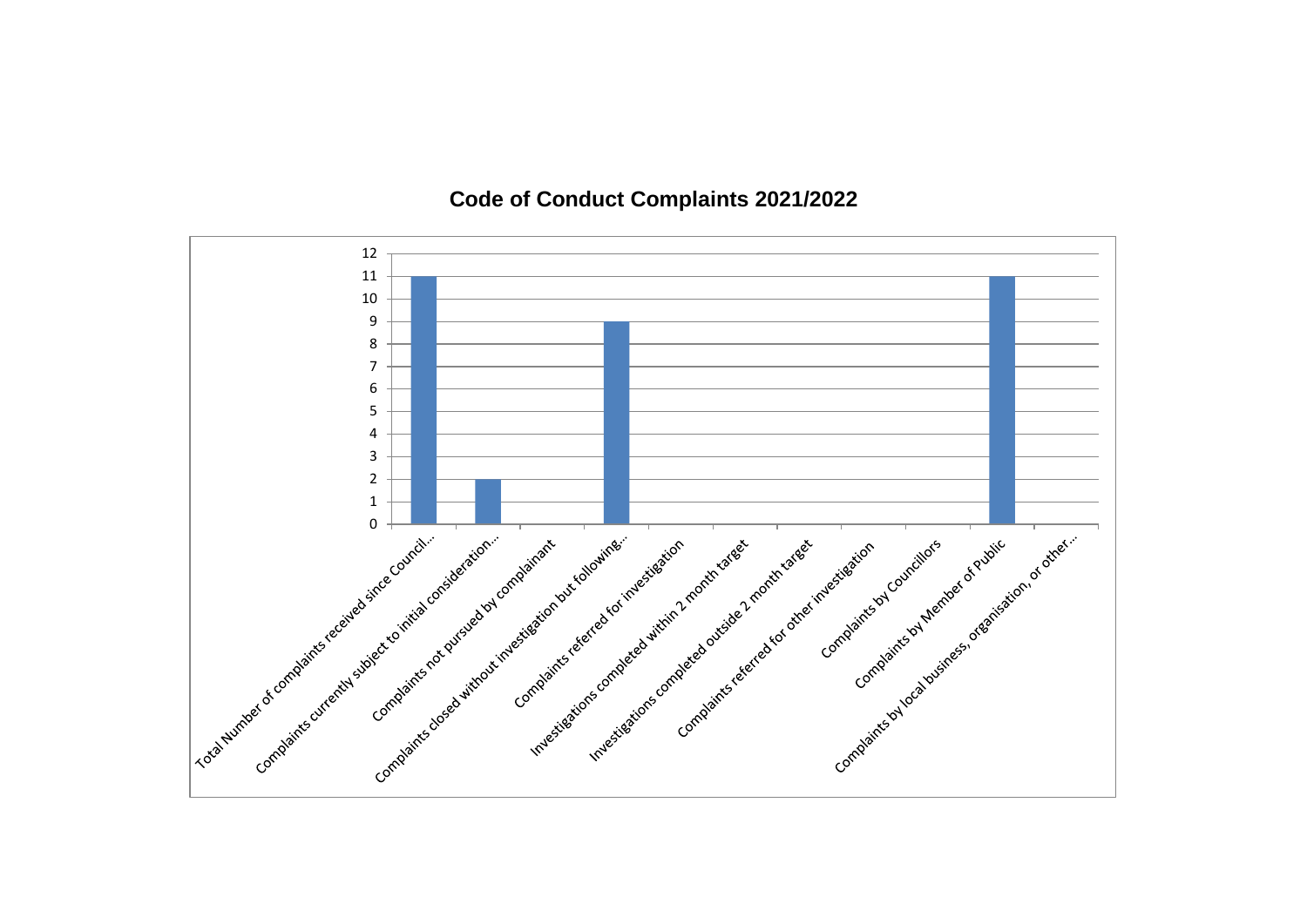## **Code of Conduct Complaints 2021/2022**

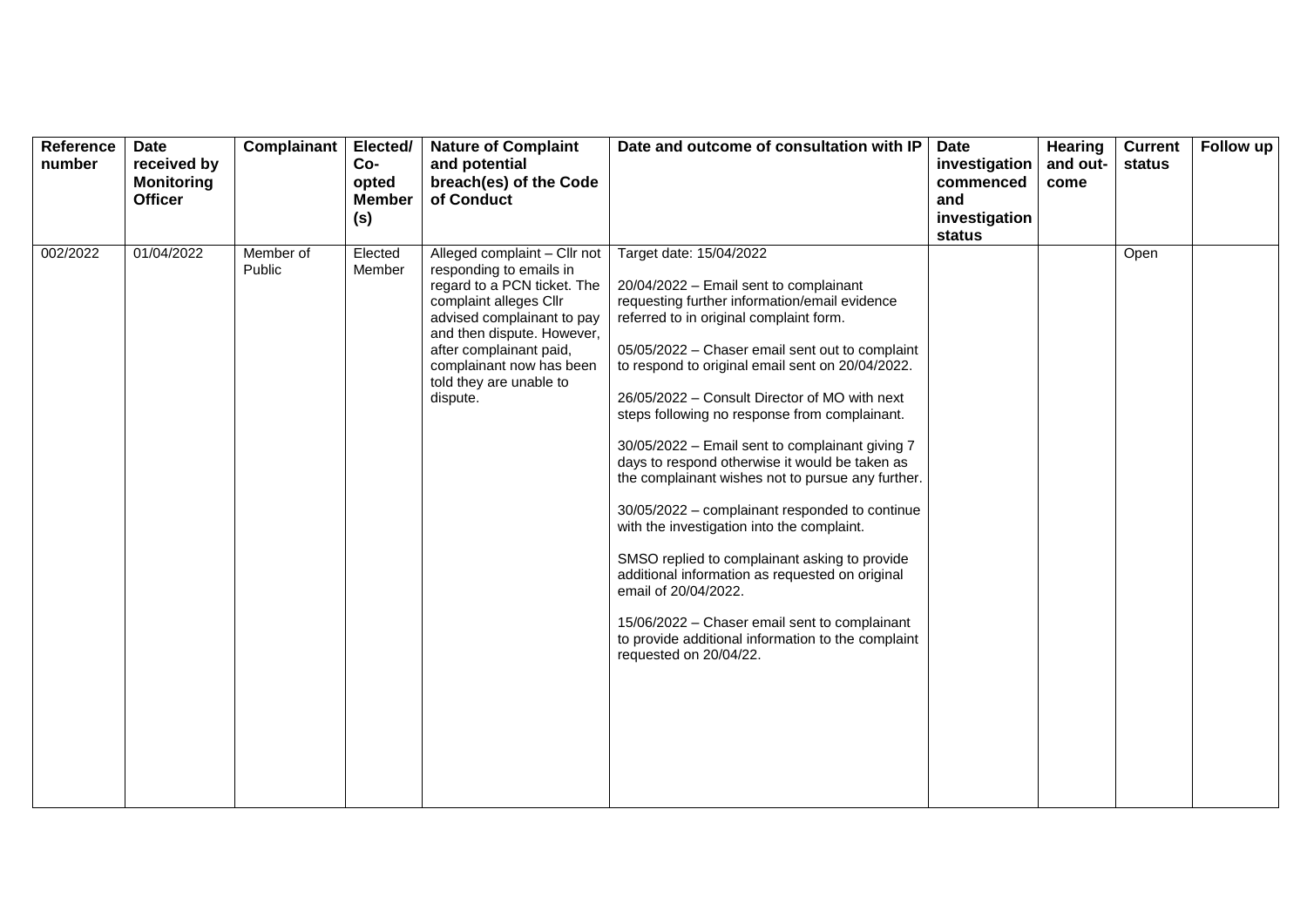| Reference<br>number | <b>Date</b><br>received by<br><b>Monitoring</b><br><b>Officer</b> | Complainant         | Elected/<br>Co-<br>opted<br><b>Member</b><br>(s) | <b>Nature of Complaint</b><br>and potential<br>breach(es) of the Code<br>of Conduct                                                                                                                                                                                        | Date and outcome of consultation with IP                                                                                                                                                                                                                                                                                                                                                                                                                                                                                                                                                                                                                                                                                                                                                                                                                                                      | Date<br>investigation<br>commenced<br>and<br>investigation<br>status | <b>Hearing</b><br>and out-<br>come | <b>Current</b><br>status | Follow up |
|---------------------|-------------------------------------------------------------------|---------------------|--------------------------------------------------|----------------------------------------------------------------------------------------------------------------------------------------------------------------------------------------------------------------------------------------------------------------------------|-----------------------------------------------------------------------------------------------------------------------------------------------------------------------------------------------------------------------------------------------------------------------------------------------------------------------------------------------------------------------------------------------------------------------------------------------------------------------------------------------------------------------------------------------------------------------------------------------------------------------------------------------------------------------------------------------------------------------------------------------------------------------------------------------------------------------------------------------------------------------------------------------|----------------------------------------------------------------------|------------------------------------|--------------------------|-----------|
| 002/2022            | 01/04/2022                                                        | Member of<br>Public | Elected<br>Member                                | Alleged complaint - Cllr not<br>responding to emails in<br>regard to a PCN ticket. The<br>complaint alleges Cllr<br>advised complainant to pay<br>and then dispute. However,<br>after complainant paid,<br>complainant now has been<br>told they are unable to<br>dispute. | Target date: 15/04/2022<br>20/04/2022 - Email sent to complainant<br>requesting further information/email evidence<br>referred to in original complaint form.<br>05/05/2022 - Chaser email sent out to complaint<br>to respond to original email sent on 20/04/2022.<br>26/05/2022 - Consult Director of MO with next<br>steps following no response from complainant.<br>30/05/2022 - Email sent to complainant giving 7<br>days to respond otherwise it would be taken as<br>the complainant wishes not to pursue any further.<br>30/05/2022 - complainant responded to continue<br>with the investigation into the complaint.<br>SMSO replied to complainant asking to provide<br>additional information as requested on original<br>email of 20/04/2022.<br>15/06/2022 - Chaser email sent to complainant<br>to provide additional information to the complaint<br>requested on 20/04/22. |                                                                      |                                    | Open                     |           |